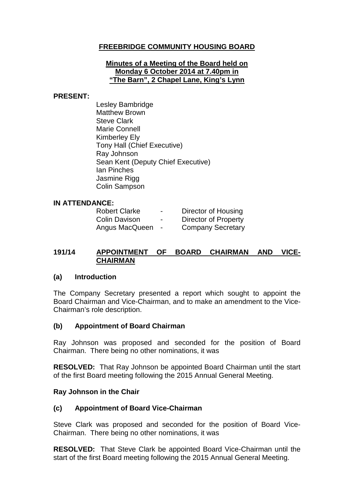## **FREEBRIDGE COMMUNITY HOUSING BOARD**

#### **Minutes of a Meeting of the Board held on Monday 6 October 2014 at 7.40pm in "The Barn", 2 Chapel Lane, King's Lynn**

#### **PRESENT:**

Lesley Bambridge Matthew Brown Steve Clark Marie Connell Kimberley Ely Tony Hall (Chief Executive) Ray Johnson Sean Kent (Deputy Chief Executive) Ian Pinches Jasmine Rigg Colin Sampson

### **IN ATTENDANCE:**

| <b>Robert Clarke</b> | $\blacksquare$ | Director of Housing         |
|----------------------|----------------|-----------------------------|
| <b>Colin Davison</b> | ۰              | <b>Director of Property</b> |
| Angus MacQueen       | $\blacksquare$ | <b>Company Secretary</b>    |

### **191/14 APPOINTMENT OF BOARD CHAIRMAN AND VICE-CHAIRMAN**

### **(a) Introduction**

The Company Secretary presented a report which sought to appoint the Board Chairman and Vice-Chairman, and to make an amendment to the Vice-Chairman's role description.

### **(b) Appointment of Board Chairman**

Ray Johnson was proposed and seconded for the position of Board Chairman. There being no other nominations, it was

**RESOLVED:** That Ray Johnson be appointed Board Chairman until the start of the first Board meeting following the 2015 Annual General Meeting.

#### **Ray Johnson in the Chair**

### **(c) Appointment of Board Vice-Chairman**

Steve Clark was proposed and seconded for the position of Board Vice-Chairman. There being no other nominations, it was

**RESOLVED:** That Steve Clark be appointed Board Vice-Chairman until the start of the first Board meeting following the 2015 Annual General Meeting.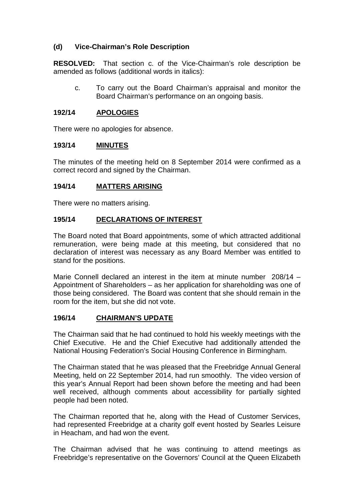## **(d) Vice-Chairman's Role Description**

**RESOLVED:** That section c. of the Vice-Chairman's role description be amended as follows (additional words in italics):

c. To carry out the Board Chairman's appraisal and monitor the Board Chairman's performance on an ongoing basis.

### **192/14 APOLOGIES**

There were no apologies for absence.

### **193/14 MINUTES**

The minutes of the meeting held on 8 September 2014 were confirmed as a correct record and signed by the Chairman.

### **194/14 MATTERS ARISING**

There were no matters arising.

### **195/14 DECLARATIONS OF INTEREST**

The Board noted that Board appointments, some of which attracted additional remuneration, were being made at this meeting, but considered that no declaration of interest was necessary as any Board Member was entitled to stand for the positions.

Marie Connell declared an interest in the item at minute number 208/14 – Appointment of Shareholders – as her application for shareholding was one of those being considered. The Board was content that she should remain in the room for the item, but she did not vote.

## **196/14 CHAIRMAN'S UPDATE**

The Chairman said that he had continued to hold his weekly meetings with the Chief Executive. He and the Chief Executive had additionally attended the National Housing Federation's Social Housing Conference in Birmingham.

The Chairman stated that he was pleased that the Freebridge Annual General Meeting, held on 22 September 2014, had run smoothly. The video version of this year's Annual Report had been shown before the meeting and had been well received, although comments about accessibility for partially sighted people had been noted.

The Chairman reported that he, along with the Head of Customer Services, had represented Freebridge at a charity golf event hosted by Searles Leisure in Heacham, and had won the event.

The Chairman advised that he was continuing to attend meetings as Freebridge's representative on the Governors' Council at the Queen Elizabeth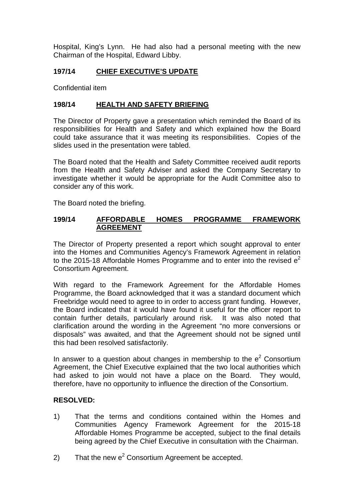Hospital, King's Lynn. He had also had a personal meeting with the new Chairman of the Hospital, Edward Libby.

## **197/14 CHIEF EXECUTIVE'S UPDATE**

Confidential item

### **198/14 HEALTH AND SAFETY BRIEFING**

The Director of Property gave a presentation which reminded the Board of its responsibilities for Health and Safety and which explained how the Board could take assurance that it was meeting its responsibilities. Copies of the slides used in the presentation were tabled.

The Board noted that the Health and Safety Committee received audit reports from the Health and Safety Adviser and asked the Company Secretary to investigate whether it would be appropriate for the Audit Committee also to consider any of this work.

The Board noted the briefing.

### **199/14 AFFORDABLE HOMES PROGRAMME FRAMEWORK AGREEMENT**

The Director of Property presented a report which sought approval to enter into the Homes and Communities Agency's Framework Agreement in relation to the 2015-18 Affordable Homes Programme and to enter into the revised  $e^2$ Consortium Agreement.

With regard to the Framework Agreement for the Affordable Homes Programme, the Board acknowledged that it was a standard document which Freebridge would need to agree to in order to access grant funding. However, the Board indicated that it would have found it useful for the officer report to contain further details, particularly around risk. It was also noted that clarification around the wording in the Agreement "no more conversions or disposals" was awaited, and that the Agreement should not be signed until this had been resolved satisfactorily.

In answer to a question about changes in membership to the  $e<sup>2</sup>$  Consortium Agreement, the Chief Executive explained that the two local authorities which had asked to join would not have a place on the Board. They would, therefore, have no opportunity to influence the direction of the Consortium.

### **RESOLVED:**

- 1) That the terms and conditions contained within the Homes and Communities Agency Framework Agreement for the 2015-18 Affordable Homes Programme be accepted, subject to the final details being agreed by the Chief Executive in consultation with the Chairman.
- 2) That the new  $e^2$  Consortium Agreement be accepted.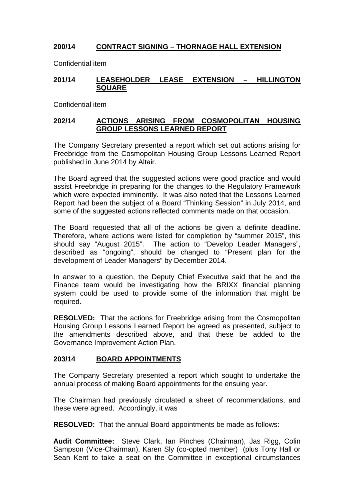# **200/14 CONTRACT SIGNING – THORNAGE HALL EXTENSION**

Confidential item

### **201/14 LEASEHOLDER LEASE EXTENSION – HILLINGTON SQUARE**

Confidential item

### **202/14 ACTIONS ARISING FROM COSMOPOLITAN HOUSING GROUP LESSONS LEARNED REPORT**

The Company Secretary presented a report which set out actions arising for Freebridge from the Cosmopolitan Housing Group Lessons Learned Report published in June 2014 by Altair.

The Board agreed that the suggested actions were good practice and would assist Freebridge in preparing for the changes to the Regulatory Framework which were expected imminently. It was also noted that the Lessons Learned Report had been the subject of a Board "Thinking Session" in July 2014, and some of the suggested actions reflected comments made on that occasion.

The Board requested that all of the actions be given a definite deadline. Therefore, where actions were listed for completion by "summer 2015", this should say "August 2015". The action to "Develop Leader Managers", described as "ongoing", should be changed to "Present plan for the development of Leader Managers" by December 2014.

In answer to a question, the Deputy Chief Executive said that he and the Finance team would be investigating how the BRIXX financial planning system could be used to provide some of the information that might be required.

**RESOLVED:** That the actions for Freebridge arising from the Cosmopolitan Housing Group Lessons Learned Report be agreed as presented, subject to the amendments described above, and that these be added to the Governance Improvement Action Plan.

## **203/14 BOARD APPOINTMENTS**

The Company Secretary presented a report which sought to undertake the annual process of making Board appointments for the ensuing year.

The Chairman had previously circulated a sheet of recommendations, and these were agreed. Accordingly, it was

**RESOLVED:** That the annual Board appointments be made as follows:

**Audit Committee:** Steve Clark, Ian Pinches (Chairman), Jas Rigg, Colin Sampson (Vice-Chairman), Karen Sly (co-opted member) (plus Tony Hall or Sean Kent to take a seat on the Committee in exceptional circumstances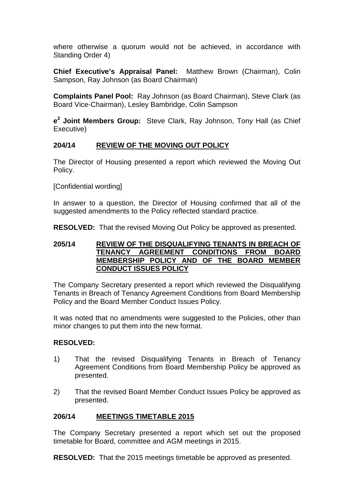where otherwise a quorum would not be achieved, in accordance with Standing Order 4)

**Chief Executive's Appraisal Panel:** Matthew Brown (Chairman), Colin Sampson, Ray Johnson (as Board Chairman)

**Complaints Panel Pool:** Ray Johnson (as Board Chairman), Steve Clark (as Board Vice-Chairman), Lesley Bambridge, Colin Sampson

**e<sup>2</sup> Joint Members Group:** Steve Clark, Ray Johnson, Tony Hall (as Chief Executive)

### **204/14 REVIEW OF THE MOVING OUT POLICY**

The Director of Housing presented a report which reviewed the Moving Out Policy.

[Confidential wording]

In answer to a question, the Director of Housing confirmed that all of the suggested amendments to the Policy reflected standard practice.

**RESOLVED:** That the revised Moving Out Policy be approved as presented.

#### **205/14 REVIEW OF THE DISQUALIFYING TENANTS IN BREACH OF TENANCY AGREEMENT CONDITIONS FROM BOARD MEMBERSHIP POLICY AND OF THE BOARD MEMBER CONDUCT ISSUES POLICY**

The Company Secretary presented a report which reviewed the Disqualifying Tenants in Breach of Tenancy Agreement Conditions from Board Membership Policy and the Board Member Conduct Issues Policy.

It was noted that no amendments were suggested to the Policies, other than minor changes to put them into the new format.

### **RESOLVED:**

- 1) That the revised Disqualifying Tenants in Breach of Tenancy Agreement Conditions from Board Membership Policy be approved as presented.
- 2) That the revised Board Member Conduct Issues Policy be approved as presented.

## **206/14 MEETINGS TIMETABLE 2015**

The Company Secretary presented a report which set out the proposed timetable for Board, committee and AGM meetings in 2015.

**RESOLVED:** That the 2015 meetings timetable be approved as presented.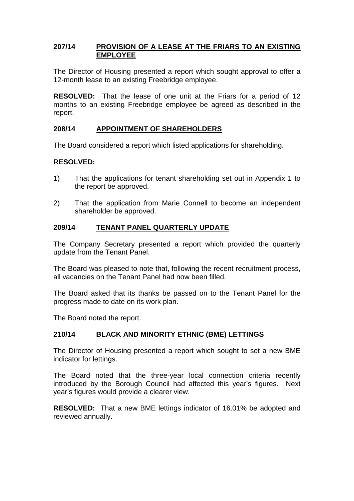### **207/14 PROVISION OF A LEASE AT THE FRIARS TO AN EXISTING EMPLOYEE**

The Director of Housing presented a report which sought approval to offer a 12-month lease to an existing Freebridge employee.

**RESOLVED:** That the lease of one unit at the Friars for a period of 12 months to an existing Freebridge employee be agreed as described in the report.

### **208/14 APPOINTMENT OF SHAREHOLDERS**

The Board considered a report which listed applications for shareholding.

### **RESOLVED:**

- 1) That the applications for tenant shareholding set out in Appendix 1 to the report be approved.
- 2) That the application from Marie Connell to become an independent shareholder be approved.

### **209/14 TENANT PANEL QUARTERLY UPDATE**

The Company Secretary presented a report which provided the quarterly update from the Tenant Panel.

The Board was pleased to note that, following the recent recruitment process, all vacancies on the Tenant Panel had now been filled.

The Board asked that its thanks be passed on to the Tenant Panel for the progress made to date on its work plan.

The Board noted the report.

### **210/14 BLACK AND MINORITY ETHNIC (BME) LETTINGS**

The Director of Housing presented a report which sought to set a new BME indicator for lettings.

The Board noted that the three-year local connection criteria recently introduced by the Borough Council had affected this year's figures. Next year's figures would provide a clearer view.

**RESOLVED:** That a new BME lettings indicator of 16.01% be adopted and reviewed annually.